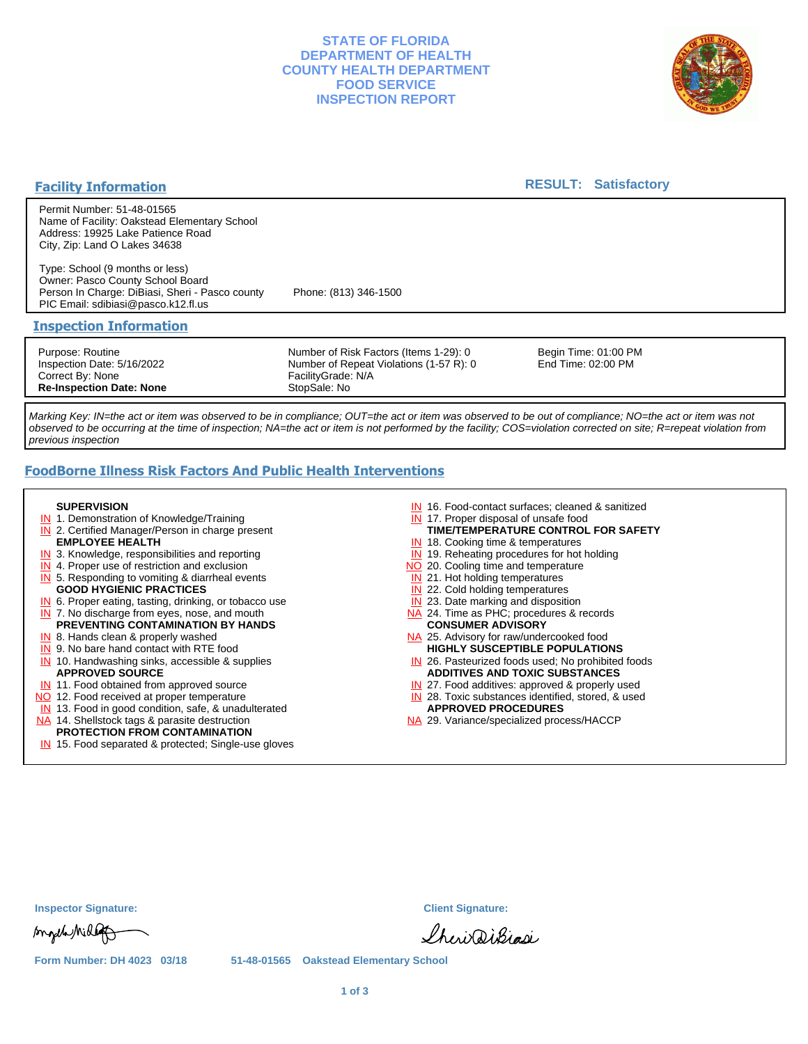## **STATE OF FLORIDA DEPARTMENT OF HEALTH COUNTY HEALTH DEPARTMENT FOOD SERVICE INSPECTION REPORT**



### **Facility Information**

### **RESULT: Satisfactory**

Permit Number: 51-48-01565 Name of Facility: Oakstead Elementary School Address: 19925 Lake Patience Road City, Zip: Land O Lakes 34638

Type: School (9 months or less) Owner: Pasco County School Board Person In Charge: DiBiasi, Sheri - Pasco county Phone: (813) 346-1500 PIC Email: sdibiasi@pasco.k12.fl.us

### **Inspection Information**

Purpose: Routine Inspection Date: 5/16/2022 Correct By: None **Re-Inspection Date: None**

Number of Risk Factors (Items 1-29): 0 Number of Repeat Violations (1-57 R): 0 FacilityGrade: N/A StopSale: No

Begin Time: 01:00 PM End Time: 02:00 PM

Marking Key: IN=the act or item was observed to be in compliance; OUT=the act or item was observed to be out of compliance; NO=the act or item was not observed to be occurring at the time of inspection; NA=the act or item is not performed by the facility; COS=violation corrected on site; R=repeat violation from previous inspection

# **FoodBorne Illness Risk Factors And Public Health Interventions**

#### **SUPERVISION**

- **IN** 1. Demonstration of Knowledge/Training
- **IN** 2. Certified Manager/Person in charge present **EMPLOYEE HEALTH**
- **IN** 3. Knowledge, responsibilities and reporting
- **IN** 4. Proper use of restriction and exclusion
- **IN** 5. Responding to vomiting & diarrheal events
- **GOOD HYGIENIC PRACTICES**
- **IN** 6. Proper eating, tasting, drinking, or tobacco use **IN** 7. No discharge from eyes, nose, and mouth
- **PREVENTING CONTAMINATION BY HANDS**
- IN 8. Hands clean & properly washed
- **IN** 9. No bare hand contact with RTE food IN 10. Handwashing sinks, accessible & supplies **APPROVED SOURCE**
- **IN** 11. Food obtained from approved source
- NO 12. Food received at proper temperature
- IN 13. Food in good condition, safe, & unadulterated
- NA 14. Shellstock tags & parasite destruction

#### **PROTECTION FROM CONTAMINATION**

IN 15. Food separated & protected; Single-use gloves

- IN 16. Food-contact surfaces; cleaned & sanitized
- IN 17. Proper disposal of unsafe food
- **TIME/TEMPERATURE CONTROL FOR SAFETY**
- IN 18. Cooking time & temperatures
- **IN** 19. Reheating procedures for hot holding
- NO 20. Cooling time and temperature
- IN 21. Hot holding temperatures
- **IN** 22. Cold holding temperatures
- **IN** 23. Date marking and disposition NA 24. Time as PHC; procedures & records **CONSUMER ADVISORY**
- NA 25. Advisory for raw/undercooked food **HIGHLY SUSCEPTIBLE POPULATIONS**
- IN 26. Pasteurized foods used; No prohibited foods **ADDITIVES AND TOXIC SUBSTANCES**
- IN 27. Food additives: approved & properly used
- IN 28. Toxic substances identified, stored, & used **APPROVED PROCEDURES**
- NA 29. Variance/specialized process/HACCP

| <b>Inspector Signature:</b> |  |  |  |
|-----------------------------|--|--|--|
|-----------------------------|--|--|--|

songel Mille

**Inspector Signature: Client Signature:**

Sheri DiBigsi

**Form Number: DH 4023 03/18 51-48-01565 Oakstead Elementary School**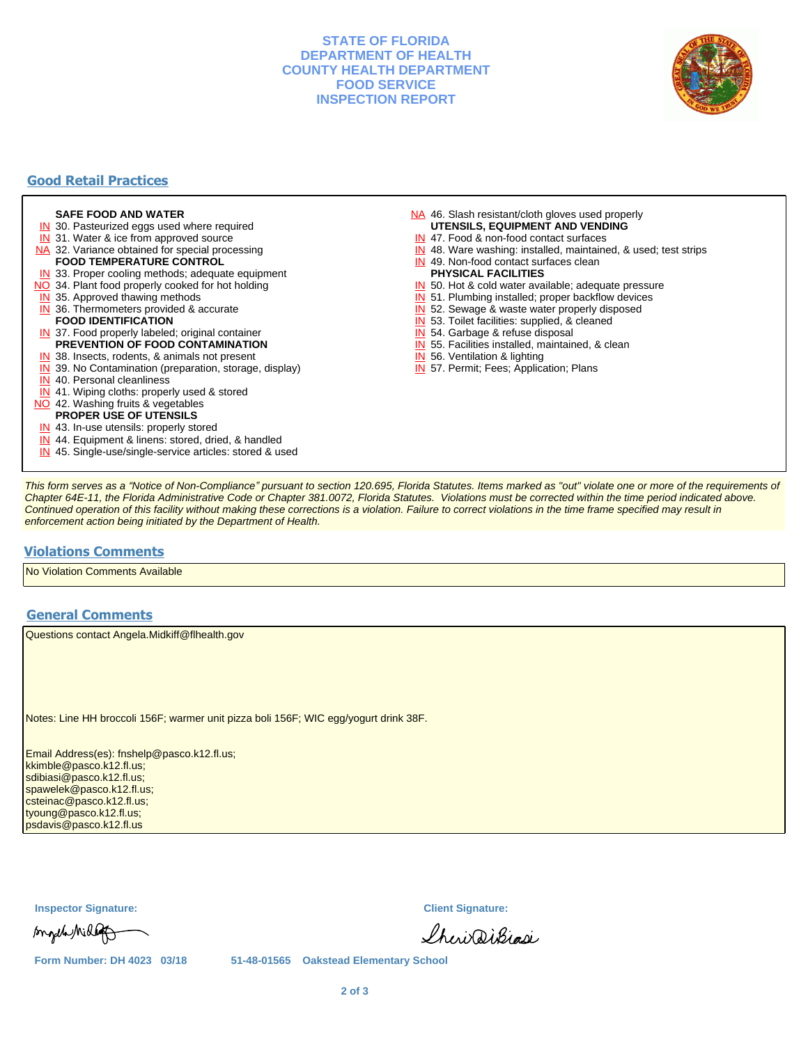### **STATE OF FLORIDA DEPARTMENT OF HEALTH COUNTY HEALTH DEPARTMENT FOOD SERVICE INSPECTION REPORT**



# **Good Retail Practices**

#### **SAFE FOOD AND WATER**

- **IN** 30. Pasteurized eggs used where required
- IN 31. Water & ice from approved source
- NA 32. Variance obtained for special processing **FOOD TEMPERATURE CONTROL**
- 
- **IN** 33. Proper cooling methods; adequate equipment NO 34. Plant food properly cooked for hot holding
- **IN** 35. Approved thawing methods
- IN 36. Thermometers provided & accurate **FOOD IDENTIFICATION**
- IN 37. Food properly labeled; original container **PREVENTION OF FOOD CONTAMINATION**
- IN 38. Insects, rodents, & animals not present
- **IN** 39. No Contamination (preparation, storage, display)
- IN 40. Personal cleanliness
- IN 41. Wiping cloths: properly used & stored
- NO 42. Washing fruits & vegetables
	- **PROPER USE OF UTENSILS**
- IN 43. In-use utensils: properly stored
- IN 44. Equipment & linens: stored, dried, & handled
- IN 45. Single-use/single-service articles: stored & used
- NA 46. Slash resistant/cloth gloves used properly **UTENSILS, EQUIPMENT AND VENDING**
- IN 47. Food & non-food contact surfaces
- IN 48. Ware washing: installed, maintained, & used; test strips
- IN 49. Non-food contact surfaces clean
- **PHYSICAL FACILITIES**
- IN 50. Hot & cold water available; adequate pressure
- IN 51. Plumbing installed; proper backflow devices
- IN 52. Sewage & waste water properly disposed
- IN 53. Toilet facilities: supplied, & cleaned
- IN 54. Garbage & refuse disposal
- IN 55. Facilities installed, maintained, & clean
- IN 56. Ventilation & lighting
- IN 57. Permit; Fees; Application; Plans

This form serves as a "Notice of Non-Compliance" pursuant to section 120.695, Florida Statutes. Items marked as "out" violate one or more of the requirements of Chapter 64E-11, the Florida Administrative Code or Chapter 381.0072, Florida Statutes. Violations must be corrected within the time period indicated above. Continued operation of this facility without making these corrections is a violation. Failure to correct violations in the time frame specified may result in enforcement action being initiated by the Department of Health.

### **Violations Comments**

No Violation Comments Available

### **General Comments**

Questions contact Angela.Midkiff@flhealth.gov

Notes: Line HH broccoli 156F; warmer unit pizza boli 156F; WIC egg/yogurt drink 38F.

Email Address(es): fnshelp@pasco.k12.fl.us; kkimble@pasco.k12.fl.us; sdibiasi@pasco.k12.fl.us; spawelek@pasco.k12.fl.us; csteinac@pasco.k12.fl.us; tyoung@pasco.k12.fl.us; psdavis@pasco.k12.fl.us

**Inspector Signature: Client Signature:**

Angela Mille

Sheri DiBiasi

**Form Number: DH 4023 03/18 51-48-01565 Oakstead Elementary School**